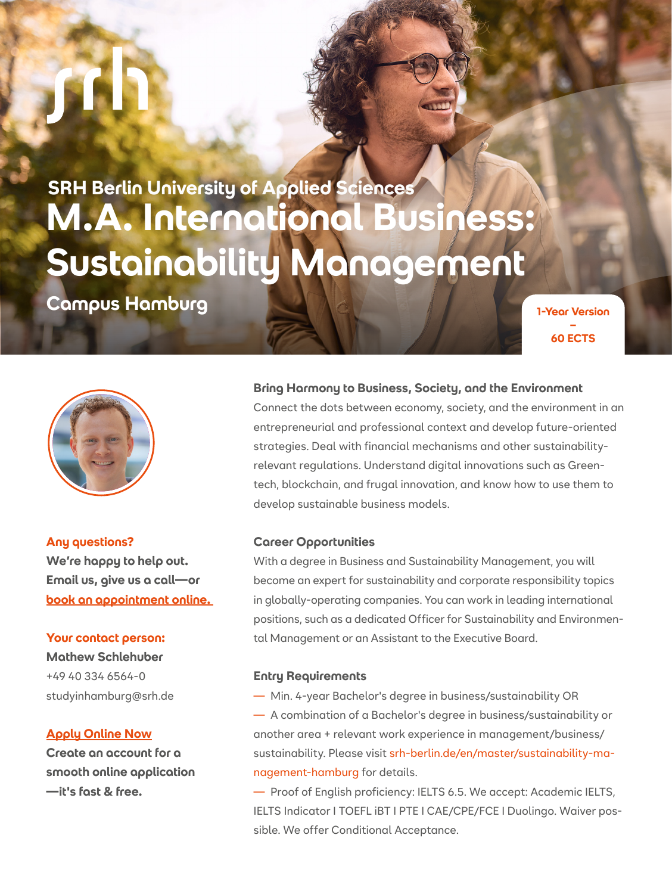**SRH Berlin University of Applied Sciences M.A. International Business: Sustainability Management**

**Campus Hamburg and Campus Hamburg** 





**Any questions? We're happy to help out. Email us, give us a call—or [book an appointment online.](https://outlook.office365.com/owa/calendar/SRHUniversity@srhk.onmicrosoft.com/bookings/)** 

# **Your contact person:**

**Mathew Schlehuber** +49 40 334 6564-0 studyinhamburg@srh.de

# **[Apply Online Now](https://apply.srh.de/en_GB/courses/course/257-ma-international-business--focus-sustainability-management-60-ects)**

**Create an account for a smooth online application —it's fast & free.**

# **Bring Harmony to Business, Society, and the Environment**

Connect the dots between economy, society, and the environment in an entrepreneurial and professional context and develop future-oriented strategies. Deal with financial mechanisms and other sustainabilityrelevant regulations. Understand digital innovations such as Greentech, blockchain, and frugal innovation, and know how to use them to develop sustainable business models.

#### **Career Opportunities**

With a degree in Business and Sustainability Management, you will become an expert for sustainability and corporate responsibility topics in globally-operating companies. You can work in leading international positions, such as a dedicated Officer for Sustainability and Environmental Management or an Assistant to the Executive Board.

#### **Entry Requirements**

— Min. 4-year Bachelor's degree in business/sustainability OR — A combination of a Bachelor's degree in business/sustainability or another area + relevant work experience in management/business/ sustainability. Please visit [srh-berlin.de/en/master/sustainability-ma](https://www.srh-berlin.de/en/master/sustainability-management-hamburghttp://)[nagement-hamburg](https://www.srh-berlin.de/en/master/sustainability-management-hamburghttp://) for details.

— Proof of English proficiency: IELTS 6.5. We accept: Academic IELTS, IELTS Indicator I TOEFL iBT I PTE I CAE/CPE/FCE I Duolingo. Waiver possible. We offer Conditional Acceptance.